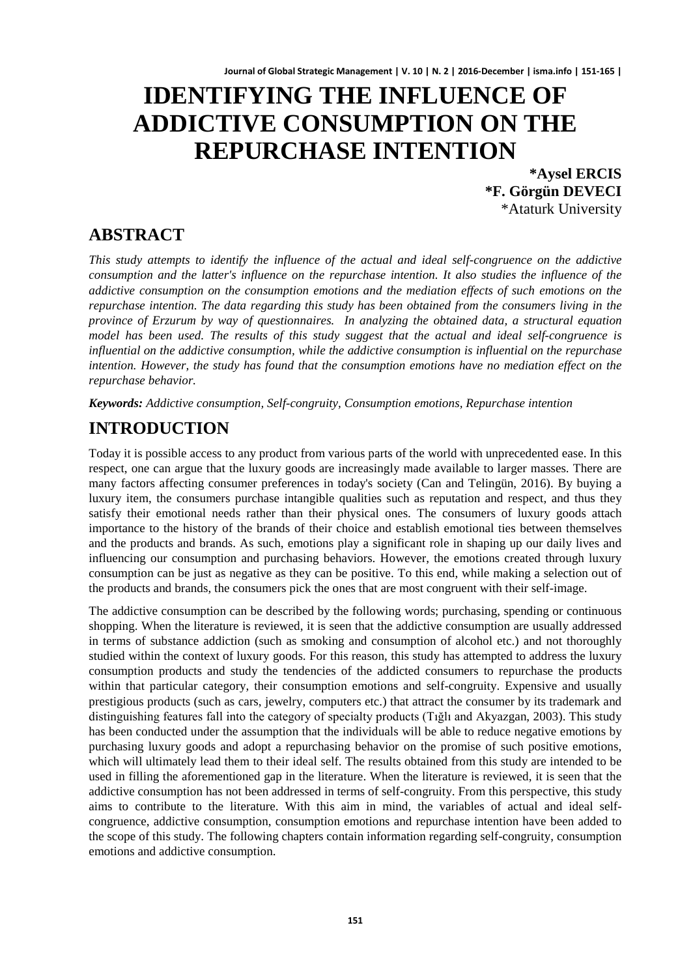# **IDENTIFYING THE INFLUENCE OF ADDICTIVE CONSUMPTION ON THE REPURCHASE INTENTION**

**\*Aysel ERCIS \*F. Görgün DEVECI** \*Ataturk University

### **ABSTRACT**

*This study attempts to identify the influence of the actual and ideal self-congruence on the addictive consumption and the latter's influence on the repurchase intention. It also studies the influence of the addictive consumption on the consumption emotions and the mediation effects of such emotions on the repurchase intention. The data regarding this study has been obtained from the consumers living in the province of Erzurum by way of questionnaires. In analyzing the obtained data, a structural equation model has been used. The results of this study suggest that the actual and ideal self-congruence is influential on the addictive consumption, while the addictive consumption is influential on the repurchase intention. However, the study has found that the consumption emotions have no mediation effect on the repurchase behavior.*

*Keywords: Addictive consumption, Self-congruity, Consumption emotions, Repurchase intention*

### **INTRODUCTION**

Today it is possible access to any product from various parts of the world with unprecedented ease. In this respect, one can argue that the luxury goods are increasingly made available to larger masses. There are many factors affecting consumer preferences in today's society (Can and Telingün, 2016). By buying a luxury item, the consumers purchase intangible qualities such as reputation and respect, and thus they satisfy their emotional needs rather than their physical ones. The consumers of luxury goods attach importance to the history of the brands of their choice and establish emotional ties between themselves and the products and brands. As such, emotions play a significant role in shaping up our daily lives and influencing our consumption and purchasing behaviors. However, the emotions created through luxury consumption can be just as negative as they can be positive. To this end, while making a selection out of the products and brands, the consumers pick the ones that are most congruent with their self-image.

The addictive consumption can be described by the following words; purchasing, spending or continuous shopping. When the literature is reviewed, it is seen that the addictive consumption are usually addressed in terms of substance addiction (such as smoking and consumption of alcohol etc.) and not thoroughly studied within the context of luxury goods. For this reason, this study has attempted to address the luxury consumption products and study the tendencies of the addicted consumers to repurchase the products within that particular category, their consumption emotions and self-congruity. Expensive and usually prestigious products (such as cars, jewelry, computers etc.) that attract the consumer by its trademark and distinguishing features fall into the category of specialty products (Tığlı and Akyazgan, 2003). This study has been conducted under the assumption that the individuals will be able to reduce negative emotions by purchasing luxury goods and adopt a repurchasing behavior on the promise of such positive emotions, which will ultimately lead them to their ideal self. The results obtained from this study are intended to be used in filling the aforementioned gap in the literature. When the literature is reviewed, it is seen that the addictive consumption has not been addressed in terms of self-congruity. From this perspective, this study aims to contribute to the literature. With this aim in mind, the variables of actual and ideal selfcongruence, addictive consumption, consumption emotions and repurchase intention have been added to the scope of this study. The following chapters contain information regarding self-congruity, consumption emotions and addictive consumption.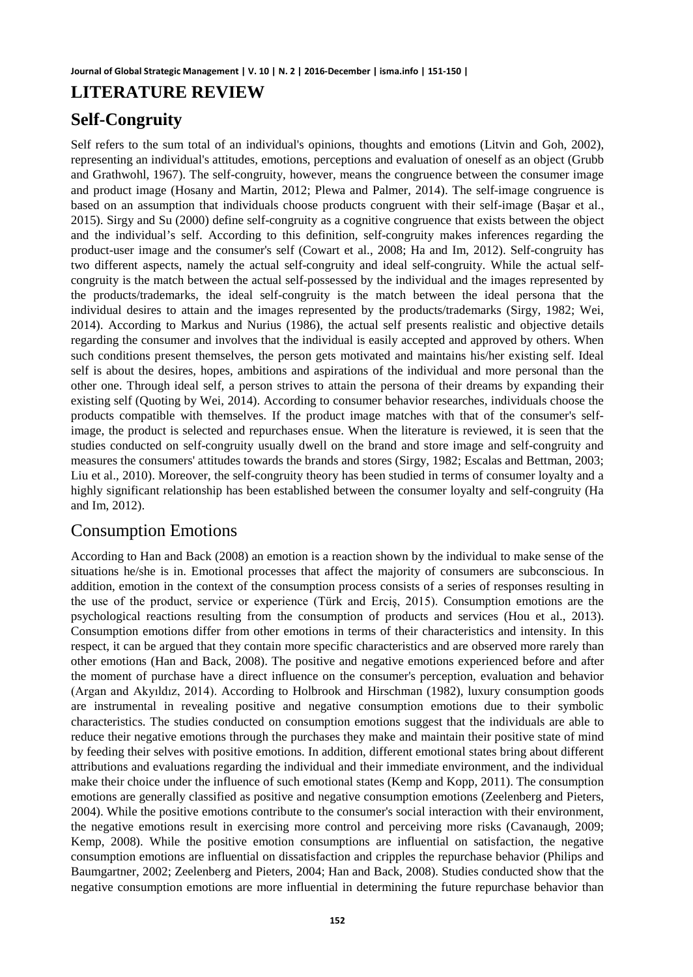### **LITERATURE REVIEW**

### **Self-Congruity**

Self refers to the sum total of an individual's opinions, thoughts and emotions (Litvin and Goh, 2002), representing an individual's attitudes, emotions, perceptions and evaluation of oneself as an object (Grubb and Grathwohl, 1967). The self-congruity, however, means the congruence between the consumer image and product image (Hosany and Martin, 2012; Plewa and Palmer, 2014). The self-image congruence is based on an assumption that individuals choose products congruent with their self-image (Başar et al., 2015). Sirgy and Su (2000) define self-congruity as a cognitive congruence that exists between the object and the individual's self. According to this definition, self-congruity makes inferences regarding the product-user image and the consumer's self (Cowart et al., 2008; Ha and Im, 2012). Self-congruity has two different aspects, namely the actual self-congruity and ideal self-congruity. While the actual selfcongruity is the match between the actual self-possessed by the individual and the images represented by the products/trademarks, the ideal self-congruity is the match between the ideal persona that the individual desires to attain and the images represented by the products/trademarks (Sirgy, 1982; Wei, 2014). According to Markus and Nurius (1986), the actual self presents realistic and objective details regarding the consumer and involves that the individual is easily accepted and approved by others. When such conditions present themselves, the person gets motivated and maintains his/her existing self. Ideal self is about the desires, hopes, ambitions and aspirations of the individual and more personal than the other one. Through ideal self, a person strives to attain the persona of their dreams by expanding their existing self (Quoting by Wei, 2014). According to consumer behavior researches, individuals choose the products compatible with themselves. If the product image matches with that of the consumer's selfimage, the product is selected and repurchases ensue. When the literature is reviewed, it is seen that the studies conducted on self-congruity usually dwell on the brand and store image and self-congruity and measures the consumers' attitudes towards the brands and stores (Sirgy, 1982; Escalas and Bettman, 2003; Liu et al., 2010). Moreover, the self-congruity theory has been studied in terms of consumer loyalty and a highly significant relationship has been established between the consumer loyalty and self-congruity (Ha and Im, 2012).

### Consumption Emotions

According to Han and Back (2008) an emotion is a reaction shown by the individual to make sense of the situations he/she is in. Emotional processes that affect the majority of consumers are subconscious. In addition, emotion in the context of the consumption process consists of a series of responses resulting in the use of the product, service or experience (Türk and Erciş, 2015). Consumption emotions are the psychological reactions resulting from the consumption of products and services (Hou et al., 2013). Consumption emotions differ from other emotions in terms of their characteristics and intensity. In this respect, it can be argued that they contain more specific characteristics and are observed more rarely than other emotions (Han and Back, 2008). The positive and negative emotions experienced before and after the moment of purchase have a direct influence on the consumer's perception, evaluation and behavior (Argan and Akyıldız, 2014). According to Holbrook and Hirschman (1982), luxury consumption goods are instrumental in revealing positive and negative consumption emotions due to their symbolic characteristics. The studies conducted on consumption emotions suggest that the individuals are able to reduce their negative emotions through the purchases they make and maintain their positive state of mind by feeding their selves with positive emotions. In addition, different emotional states bring about different attributions and evaluations regarding the individual and their immediate environment, and the individual make their choice under the influence of such emotional states (Kemp and Kopp, 2011). The consumption emotions are generally classified as positive and negative consumption emotions (Zeelenberg and Pieters, 2004). While the positive emotions contribute to the consumer's social interaction with their environment, the negative emotions result in exercising more control and perceiving more risks (Cavanaugh, 2009; Kemp, 2008). While the positive emotion consumptions are influential on satisfaction, the negative consumption emotions are influential on dissatisfaction and cripples the repurchase behavior (Philips and Baumgartner, 2002; Zeelenberg and Pieters, 2004; Han and Back, 2008). Studies conducted show that the negative consumption emotions are more influential in determining the future repurchase behavior than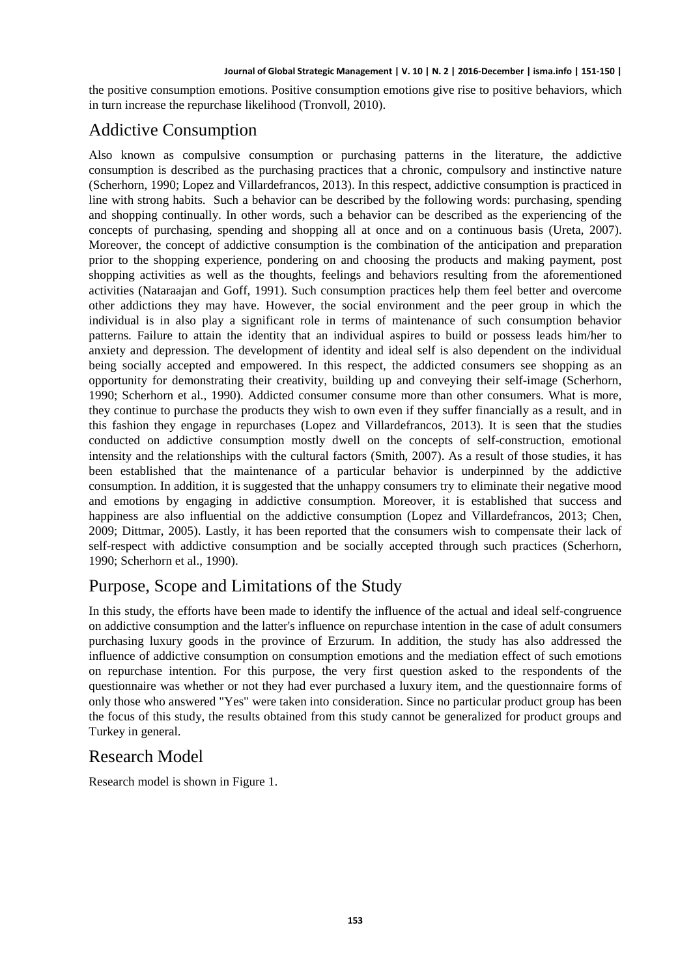the positive consumption emotions. Positive consumption emotions give rise to positive behaviors, which in turn increase the repurchase likelihood (Tronvoll, 2010).

## Addictive Consumption

Also known as compulsive consumption or purchasing patterns in the literature, the addictive consumption is described as the purchasing practices that a chronic, compulsory and instinctive nature (Scherhorn, 1990; Lopez and Villardefrancos, 2013). In this respect, addictive consumption is practiced in line with strong habits. Such a behavior can be described by the following words: purchasing, spending and shopping continually. In other words, such a behavior can be described as the experiencing of the concepts of purchasing, spending and shopping all at once and on a continuous basis (Ureta, 2007). Moreover, the concept of addictive consumption is the combination of the anticipation and preparation prior to the shopping experience, pondering on and choosing the products and making payment, post shopping activities as well as the thoughts, feelings and behaviors resulting from the aforementioned activities (Nataraajan and Goff, 1991). Such consumption practices help them feel better and overcome other addictions they may have. However, the social environment and the peer group in which the individual is in also play a significant role in terms of maintenance of such consumption behavior patterns. Failure to attain the identity that an individual aspires to build or possess leads him/her to anxiety and depression. The development of identity and ideal self is also dependent on the individual being socially accepted and empowered. In this respect, the addicted consumers see shopping as an opportunity for demonstrating their creativity, building up and conveying their self-image (Scherhorn, 1990; Scherhorn et al., 1990). Addicted consumer consume more than other consumers. What is more, they continue to purchase the products they wish to own even if they suffer financially as a result, and in this fashion they engage in repurchases (Lopez and Villardefrancos, 2013). It is seen that the studies conducted on addictive consumption mostly dwell on the concepts of self-construction, emotional intensity and the relationships with the cultural factors (Smith, 2007). As a result of those studies, it has been established that the maintenance of a particular behavior is underpinned by the addictive consumption. In addition, it is suggested that the unhappy consumers try to eliminate their negative mood and emotions by engaging in addictive consumption. Moreover, it is established that success and happiness are also influential on the addictive consumption (Lopez and Villardefrancos, 2013; Chen, 2009; Dittmar, 2005). Lastly, it has been reported that the consumers wish to compensate their lack of self-respect with addictive consumption and be socially accepted through such practices (Scherhorn, 1990; Scherhorn et al., 1990).

### Purpose, Scope and Limitations of the Study

In this study, the efforts have been made to identify the influence of the actual and ideal self-congruence on addictive consumption and the latter's influence on repurchase intention in the case of adult consumers purchasing luxury goods in the province of Erzurum. In addition, the study has also addressed the influence of addictive consumption on consumption emotions and the mediation effect of such emotions on repurchase intention. For this purpose, the very first question asked to the respondents of the questionnaire was whether or not they had ever purchased a luxury item, and the questionnaire forms of only those who answered "Yes" were taken into consideration. Since no particular product group has been the focus of this study, the results obtained from this study cannot be generalized for product groups and Turkey in general.

### Research Model

Research model is shown in Figure 1.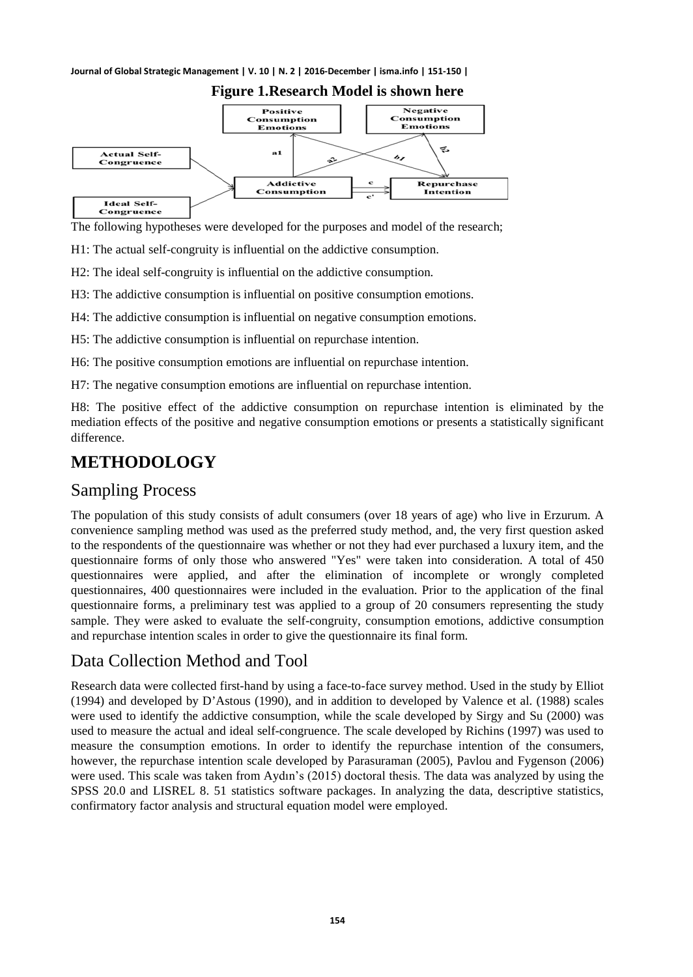

### **Figure 1.Research Model is shown here**

The following hypotheses were developed for the purposes and model of the research;

H1: The actual self-congruity is influential on the addictive consumption.

H2: The ideal self-congruity is influential on the addictive consumption.

H3: The addictive consumption is influential on positive consumption emotions.

H4: The addictive consumption is influential on negative consumption emotions.

H5: The addictive consumption is influential on repurchase intention.

H6: The positive consumption emotions are influential on repurchase intention.

H7: The negative consumption emotions are influential on repurchase intention.

H8: The positive effect of the addictive consumption on repurchase intention is eliminated by the mediation effects of the positive and negative consumption emotions or presents a statistically significant difference.

## **METHODOLOGY**

### Sampling Process

The population of this study consists of adult consumers (over 18 years of age) who live in Erzurum. A convenience sampling method was used as the preferred study method, and, the very first question asked to the respondents of the questionnaire was whether or not they had ever purchased a luxury item, and the questionnaire forms of only those who answered "Yes" were taken into consideration. A total of 450 questionnaires were applied, and after the elimination of incomplete or wrongly completed questionnaires, 400 questionnaires were included in the evaluation. Prior to the application of the final questionnaire forms, a preliminary test was applied to a group of 20 consumers representing the study sample. They were asked to evaluate the self-congruity, consumption emotions, addictive consumption and repurchase intention scales in order to give the questionnaire its final form.

### Data Collection Method and Tool

Research data were collected first-hand by using a face-to-face survey method. Used in the study by Elliot (1994) and developed by D'Astous (1990), and in addition to developed by Valence et al. (1988) scales were used to identify the addictive consumption, while the scale developed by Sirgy and Su (2000) was used to measure the actual and ideal self-congruence. The scale developed by Richins (1997) was used to measure the consumption emotions. In order to identify the repurchase intention of the consumers, however, the repurchase intention scale developed by Parasuraman (2005), Pavlou and Fygenson (2006) were used. This scale was taken from Aydın's (2015) doctoral thesis. The data was analyzed by using the SPSS 20.0 and LISREL 8. 51 statistics software packages. In analyzing the data, descriptive statistics, confirmatory factor analysis and structural equation model were employed.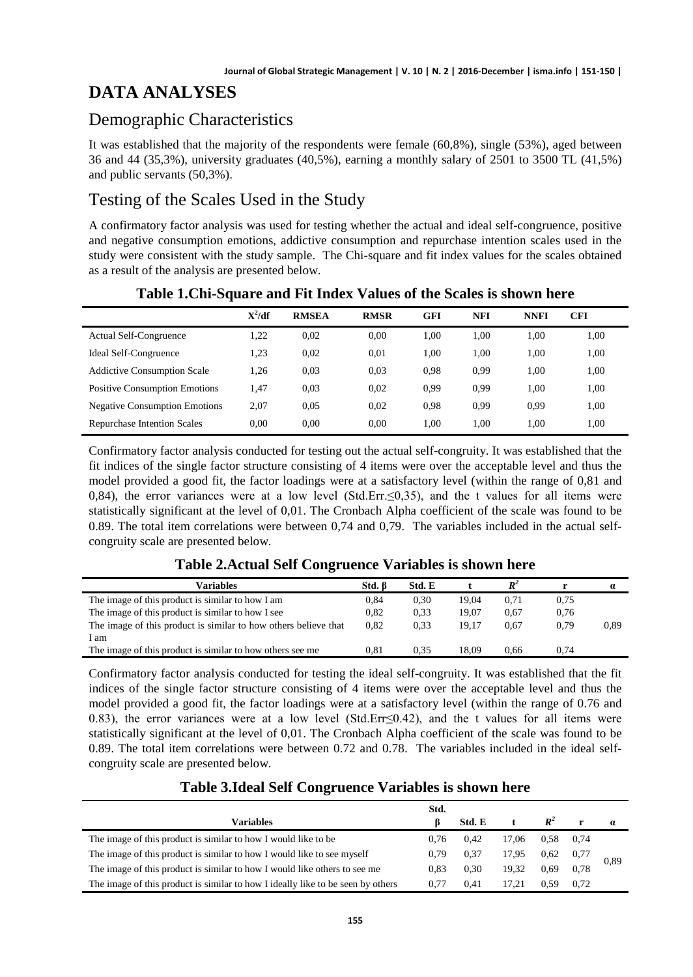### **DATA ANALYSES**

### Demographic Characteristics

It was established that the majority of the respondents were female (60,8%), single (53%), aged between 36 and 44 (35,3%), university graduates (40,5%), earning a monthly salary of 2501 to 3500 TL (41,5%) and public servants (50,3%).

### Testing of the Scales Used in the Study

A confirmatory factor analysis was used for testing whether the actual and ideal self-congruence, positive and negative consumption emotions, addictive consumption and repurchase intention scales used in the study were consistent with the study sample. The Chi-square and fit index values for the scales obtained as a result of the analysis are presented below.

|                                      | $X^2/df$ | <b>RMSEA</b> | <b>RMSR</b> | <b>GFI</b> | <b>NFI</b> | <b>NNFI</b> | <b>CFI</b> |
|--------------------------------------|----------|--------------|-------------|------------|------------|-------------|------------|
| <b>Actual Self-Congruence</b>        | 1.22     | 0.02         | 0.00        | 1.00       | 1,00       | 1,00        | 1,00       |
| Ideal Self-Congruence                | 1.23     | 0.02         | 0.01        | 1.00       | 1.00       | 1.00        | 1,00       |
| <b>Addictive Consumption Scale</b>   | 1.26     | 0.03         | 0.03        | 0.98       | 0.99       | 1.00        | 1,00       |
| <b>Positive Consumption Emotions</b> | 1.47     | 0.03         | 0.02        | 0.99       | 0.99       | 1.00        | 1.00       |
| <b>Negative Consumption Emotions</b> | 2.07     | 0.05         | 0.02        | 0.98       | 0.99       | 0.99        | 1.00       |
| <b>Repurchase Intention Scales</b>   | 0.00     | 0.00         | 0.00        | 1.00       | 1.00       | 1.00        | 1.00       |

#### **Table 1.Chi-Square and Fit Index Values of the Scales is shown here**

Confirmatory factor analysis conducted for testing out the actual self-congruity. It was established that the fit indices of the single factor structure consisting of 4 items were over the acceptable level and thus the model provided a good fit, the factor loadings were at a satisfactory level (within the range of 0,81 and 0,84), the error variances were at a low level (Std.Err.≤0,35), and the t values for all items were statistically significant at the level of 0,01. The Cronbach Alpha coefficient of the scale was found to be 0.89. The total item correlations were between 0,74 and 0,79. The variables included in the actual selfcongruity scale are presented below.

#### **Table 2.Actual Self Congruence Variables is shown here**

| Variables                                                       | Std. B | Std. E |       | $\mathbf{D}^2$ |      | $\boldsymbol{a}$ |
|-----------------------------------------------------------------|--------|--------|-------|----------------|------|------------------|
| The image of this product is similar to how I am                | 0.84   | 0,30   | 19.04 | 0.71           | 0.75 |                  |
| The image of this product is similar to how I see               | 0.82   | 0.33   | 19.07 | 0.67           | 0.76 |                  |
| The image of this product is similar to how others believe that | 0.82   | 0.33   | 19.17 | 0.67           | 0.79 | 0.89             |
| am                                                              |        |        |       |                |      |                  |
| The image of this product is similar to how others see me       | 0.81   | 0.35   | 18.09 | 0.66           | 0.74 |                  |

Confirmatory factor analysis conducted for testing the ideal self-congruity. It was established that the fit indices of the single factor structure consisting of 4 items were over the acceptable level and thus the model provided a good fit, the factor loadings were at a satisfactory level (within the range of 0.76 and 0.83), the error variances were at a low level (Std.Err≤0.42), and the t values for all items were statistically significant at the level of 0,01. The Cronbach Alpha coefficient of the scale was found to be 0.89. The total item correlations were between 0.72 and 0.78. The variables included in the ideal selfcongruity scale are presented below.

#### **Table 3.Ideal Self Congruence Variables is shown here**

|                                                                                 | Std. |        |       |                   |      |          |
|---------------------------------------------------------------------------------|------|--------|-------|-------------------|------|----------|
| <b>Variables</b>                                                                |      | Std. E |       | $R^2$             | r    | $\alpha$ |
| The image of this product is similar to how I would like to be                  | 0.76 | 0.42   | 17.06 | 0.58              | 0.74 |          |
| The image of this product is similar to how I would like to see myself          | 0.79 | 0.37   | 17,95 | $0.62 \quad 0.77$ |      | 0,89     |
| The image of this product is similar to how I would like others to see me       | 0.83 | 0.30   | 19.32 | 0.69              | 0.78 |          |
| The image of this product is similar to how I ideally like to be seen by others | 0.77 | 0.41   |       | 0.59              | 0.72 |          |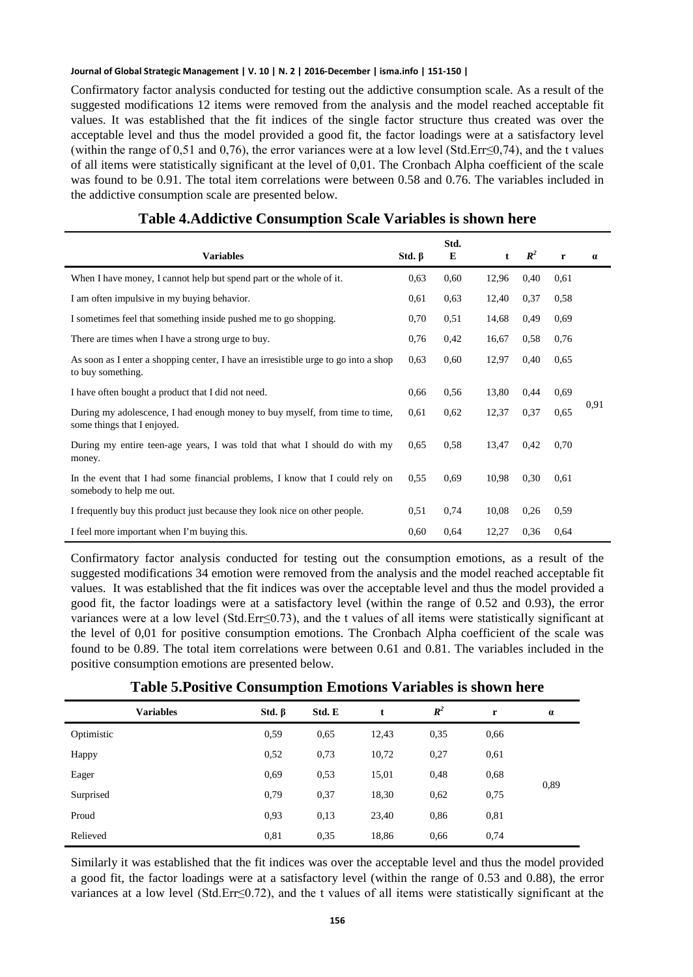Confirmatory factor analysis conducted for testing out the addictive consumption scale. As a result of the suggested modifications 12 items were removed from the analysis and the model reached acceptable fit values. It was established that the fit indices of the single factor structure thus created was over the acceptable level and thus the model provided a good fit, the factor loadings were at a satisfactory level (within the range of 0,51 and 0,76), the error variances were at a low level (Std.Err≤0,74), and the t values of all items were statistically significant at the level of 0,01. The Cronbach Alpha coefficient of the scale was found to be 0.91. The total item correlations were between 0.58 and 0.76. The variables included in the addictive consumption scale are presented below.

| <b>Variables</b>                                                                                           | Std. $\beta$ | Std.<br>E | $\mathbf t$ | $\mathbb{R}^2$ | $\mathbf{r}$ | $\alpha$ |
|------------------------------------------------------------------------------------------------------------|--------------|-----------|-------------|----------------|--------------|----------|
| When I have money, I cannot help but spend part or the whole of it.                                        | 0,63         | 0,60      | 12,96       | 0,40           | 0.61         |          |
| I am often impulsive in my buying behavior.                                                                | 0.61         | 0.63      | 12,40       | 0,37           | 0.58         |          |
| I sometimes feel that something inside pushed me to go shopping.                                           | 0,70         | 0.51      | 14,68       | 0,49           | 0.69         |          |
| There are times when I have a strong urge to buy.                                                          | 0,76         | 0,42      | 16,67       | 0.58           | 0.76         |          |
| As soon as I enter a shopping center, I have an irresistible urge to go into a shop<br>to buy something.   | 0.63         | 0,60      | 12,97       | 0.40           | 0.65         |          |
| I have often bought a product that I did not need.                                                         | 0,66         | 0,56      | 13,80       | 0,44           | 0.69         |          |
| During my adolescence, I had enough money to buy myself, from time to time,<br>some things that I enjoyed. | 0.61         | 0,62      | 12,37       | 0,37           | 0,65         | 0.91     |
| During my entire teen-age years, I was told that what I should do with my<br>money.                        | 0.65         | 0,58      | 13,47       | 0,42           | 0.70         |          |
| In the event that I had some financial problems, I know that I could rely on<br>somebody to help me out.   | 0.55         | 0.69      | 10,98       | 0,30           | 0.61         |          |
| I frequently buy this product just because they look nice on other people.                                 | 0.51         | 0,74      | 10,08       | 0,26           | 0.59         |          |
| I feel more important when I'm buying this.                                                                | 0.60         | 0,64      | 12,27       | 0.36           | 0.64         |          |

#### **Table 4.Addictive Consumption Scale Variables is shown here**

Confirmatory factor analysis conducted for testing out the consumption emotions, as a result of the suggested modifications 34 emotion were removed from the analysis and the model reached acceptable fit values. It was established that the fit indices was over the acceptable level and thus the model provided a good fit, the factor loadings were at a satisfactory level (within the range of 0.52 and 0.93), the error variances were at a low level (Std.Err≤0.73), and the t values of all items were statistically significant at the level of 0,01 for positive consumption emotions. The Cronbach Alpha coefficient of the scale was found to be 0.89. The total item correlations were between 0.61 and 0.81. The variables included in the positive consumption emotions are presented below.

| <b>Variables</b> | Std. $\beta$ | Std. E | t     | $\mathbb{R}^2$ | r    | $\alpha$ |
|------------------|--------------|--------|-------|----------------|------|----------|
| Optimistic       | 0.59         | 0.65   | 12,43 | 0.35           | 0.66 |          |
| Happy            | 0,52         | 0,73   | 10,72 | 0,27           | 0,61 |          |
| Eager            | 0.69         | 0.53   | 15,01 | 0,48           | 0,68 |          |
| Surprised        | 0,79         | 0.37   | 18,30 | 0,62           | 0,75 | 0,89     |
| Proud            | 0.93         | 0,13   | 23,40 | 0,86           | 0,81 |          |
| Relieved         | 0.81         | 0.35   | 18,86 | 0,66           | 0,74 |          |

#### **Table 5.Positive Consumption Emotions Variables is shown here**

Similarly it was established that the fit indices was over the acceptable level and thus the model provided a good fit, the factor loadings were at a satisfactory level (within the range of 0.53 and 0.88), the error variances at a low level (Std.Err≤0.72), and the t values of all items were statistically significant at the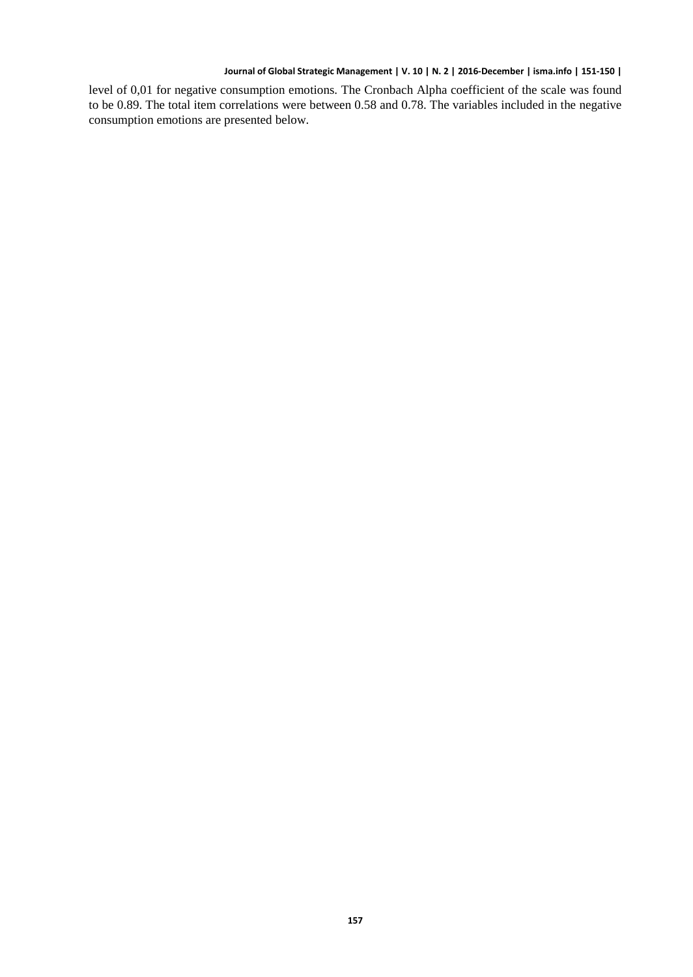level of 0,01 for negative consumption emotions. The Cronbach Alpha coefficient of the scale was found to be 0.89. The total item correlations were between 0.58 and 0.78. The variables included in the negative consumption emotions are presented below.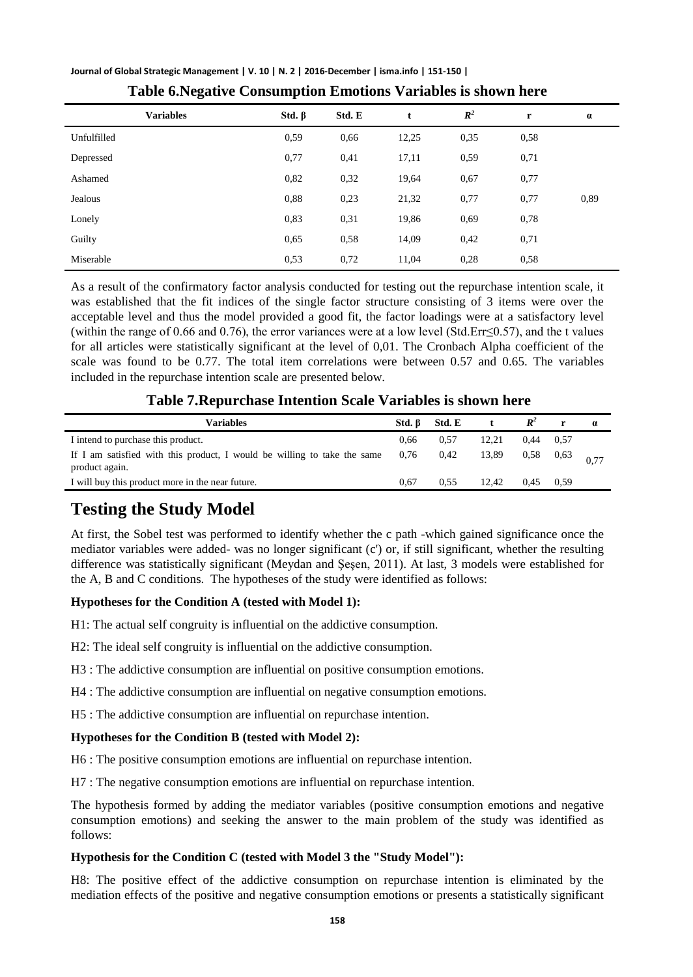| Journal of Global Strategic Management   V. 10   N. 2   2016-December   isma.info   151-150 |  |  |  |
|---------------------------------------------------------------------------------------------|--|--|--|
|---------------------------------------------------------------------------------------------|--|--|--|

| <b>Variables</b> | Std. $\beta$ | Std. E | t     | $R^2$ | r    | $\alpha$ |
|------------------|--------------|--------|-------|-------|------|----------|
| Unfulfilled      | 0,59         | 0,66   | 12,25 | 0,35  | 0,58 |          |
| Depressed        | 0,77         | 0,41   | 17,11 | 0,59  | 0,71 |          |
| Ashamed          | 0,82         | 0,32   | 19,64 | 0,67  | 0,77 |          |
| Jealous          | 0,88         | 0,23   | 21,32 | 0,77  | 0,77 | 0,89     |
| Lonely           | 0,83         | 0,31   | 19,86 | 0.69  | 0,78 |          |
| Guilty           | 0,65         | 0,58   | 14,09 | 0,42  | 0,71 |          |
| Miserable        | 0,53         | 0,72   | 11,04 | 0,28  | 0,58 |          |

**Table 6.Negative Consumption Emotions Variables is shown here**

As a result of the confirmatory factor analysis conducted for testing out the repurchase intention scale, it was established that the fit indices of the single factor structure consisting of 3 items were over the acceptable level and thus the model provided a good fit, the factor loadings were at a satisfactory level (within the range of 0.66 and 0.76), the error variances were at a low level (Std.Err≤0.57), and the t values for all articles were statistically significant at the level of 0,01. The Cronbach Alpha coefficient of the scale was found to be 0.77. The total item correlations were between 0.57 and 0.65. The variables included in the repurchase intention scale are presented below.

| Table 7. Repurchase Intention Scale Variables is shown here |  |
|-------------------------------------------------------------|--|
|-------------------------------------------------------------|--|

| Variables                                                                                  | Std. B    | Std. E |       |             | r    | $\boldsymbol{a}$ |
|--------------------------------------------------------------------------------------------|-----------|--------|-------|-------------|------|------------------|
| I intend to purchase this product.                                                         | 0.66      | 0.57   | 12.21 | $0.44$ 0.57 |      |                  |
| If I am satisfied with this product, I would be willing to take the same<br>product again. | 0,76 0,42 |        | 13,89 | $0,58$ 0.63 |      |                  |
| I will buy this product more in the near future.                                           | 0.67      | 0.55   | 12.42 | 0.45        | 0.59 |                  |
|                                                                                            |           |        |       |             |      |                  |

## **Testing the Study Model**

At first, the Sobel test was performed to identify whether the c path -which gained significance once the mediator variables were added- was no longer significant (c') or, if still significant, whether the resulting difference was statistically significant (Meydan and Şeşen, 2011). At last, 3 models were established for the A, B and C conditions. The hypotheses of the study were identified as follows:

#### **Hypotheses for the Condition A (tested with Model 1):**

- H1: The actual self congruity is influential on the addictive consumption.
- H2: The ideal self congruity is influential on the addictive consumption.
- H3 : The addictive consumption are influential on positive consumption emotions.
- H4 : The addictive consumption are influential on negative consumption emotions.
- H5 : The addictive consumption are influential on repurchase intention.

#### **Hypotheses for the Condition B (tested with Model 2):**

H6 : The positive consumption emotions are influential on repurchase intention.

H7 : The negative consumption emotions are influential on repurchase intention.

The hypothesis formed by adding the mediator variables (positive consumption emotions and negative consumption emotions) and seeking the answer to the main problem of the study was identified as follows:

#### **Hypothesis for the Condition C (tested with Model 3 the "Study Model"):**

H8: The positive effect of the addictive consumption on repurchase intention is eliminated by the mediation effects of the positive and negative consumption emotions or presents a statistically significant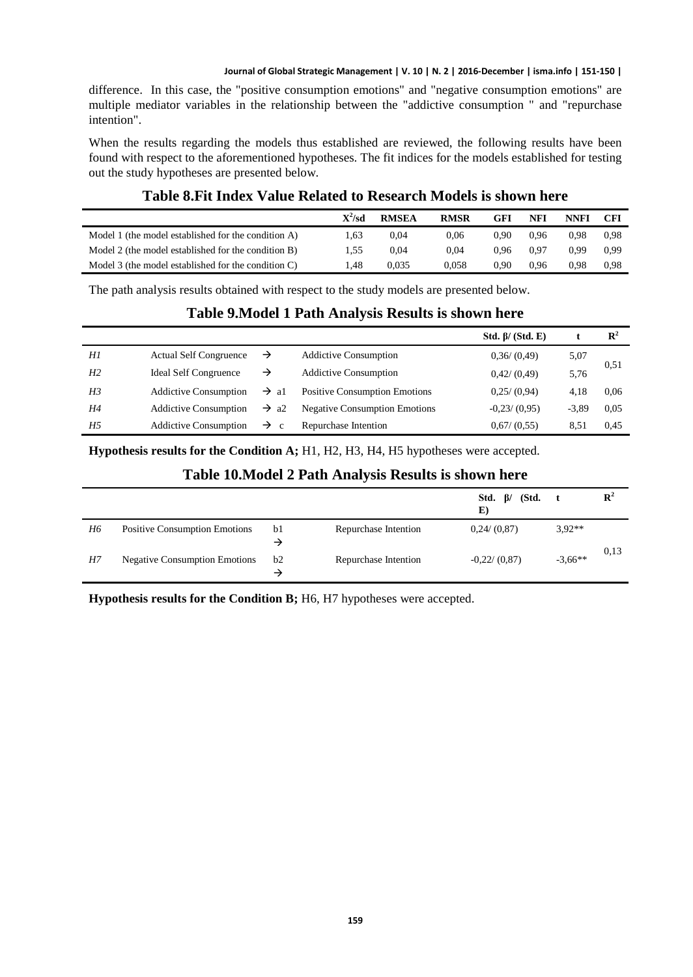difference. In this case, the "positive consumption emotions" and "negative consumption emotions" are multiple mediator variables in the relationship between the "addictive consumption " and "repurchase intention".

When the results regarding the models thus established are reviewed, the following results have been found with respect to the aforementioned hypotheses. The fit indices for the models established for testing out the study hypotheses are presented below.

#### **Table 8.Fit Index Value Related to Research Models is shown here**

|                                                     | $\mathbf{X}^2$ /sd | <b>RMSEA</b> | <b>RMSR</b> | GFI  | NFI  | <b>NNFI</b> | CFI  |
|-----------------------------------------------------|--------------------|--------------|-------------|------|------|-------------|------|
| Model 1 (the model established for the condition A) | l.63               | 0.04         | 0.06        | 0.90 | 0.96 | 0.98        | 0.98 |
| Model 2 (the model established for the condition B) | 1.55               | 0.04         | 0.04        | 0.96 | 0.97 | 0.99        | 0.99 |
| Model 3 (the model established for the condition C) | .48                | 0.035        | 0.058       | 0.90 | 0.96 | 0.98        | 0.98 |

The path analysis results obtained with respect to the study models are presented below.

### **Table 9.Model 1 Path Analysis Results is shown here**

|                |                               |                    |                                      | Std. $\beta$ / (Std. E) |         | $\mathbf{R}^2$ |
|----------------|-------------------------------|--------------------|--------------------------------------|-------------------------|---------|----------------|
| Hl             | <b>Actual Self Congruence</b> | →                  | <b>Addictive Consumption</b>         | 0.36/(0.49)             | 5,07    |                |
| H <sub>2</sub> | <b>Ideal Self Congruence</b>  | →                  | <b>Addictive Consumption</b>         | 0.42/(0.49)             | 5,76    | 0,51           |
| H <sub>3</sub> | <b>Addictive Consumption</b>  | $\rightarrow$ al   | <b>Positive Consumption Emotions</b> | $0,25/$ $(0,94)$        | 4.18    | 0.06           |
| H4             | <b>Addictive Consumption</b>  | $\rightarrow$ a2   | <b>Negative Consumption Emotions</b> | $-0.23/ (0.95)$         | $-3.89$ | 0.05           |
| H <sub>5</sub> | <b>Addictive Consumption</b>  | $\rightarrow$<br>c | Repurchase Intention                 | 0,67/(0,55)             | 8.51    | 0.45           |

**Hypothesis results for the Condition A;** H1, H2, H3, H4, H5 hypotheses were accepted.

#### **Table 10.Model 2 Path Analysis Results is shown here**

|    |                                      |         |                      | Std. $\beta$ / (Std.<br>E) |           | $\mathbf{R}^2$ |
|----|--------------------------------------|---------|----------------------|----------------------------|-----------|----------------|
| H6 | <b>Positive Consumption Emotions</b> | b1<br>→ | Repurchase Intention | $0,24/$ $(0,87)$           | $3.92**$  |                |
| H7 | <b>Negative Consumption Emotions</b> | b2<br>→ | Repurchase Intention | $-0.22/ (0.87)$            | $-3.66**$ | 0,13           |

**Hypothesis results for the Condition B;** H6, H7 hypotheses were accepted.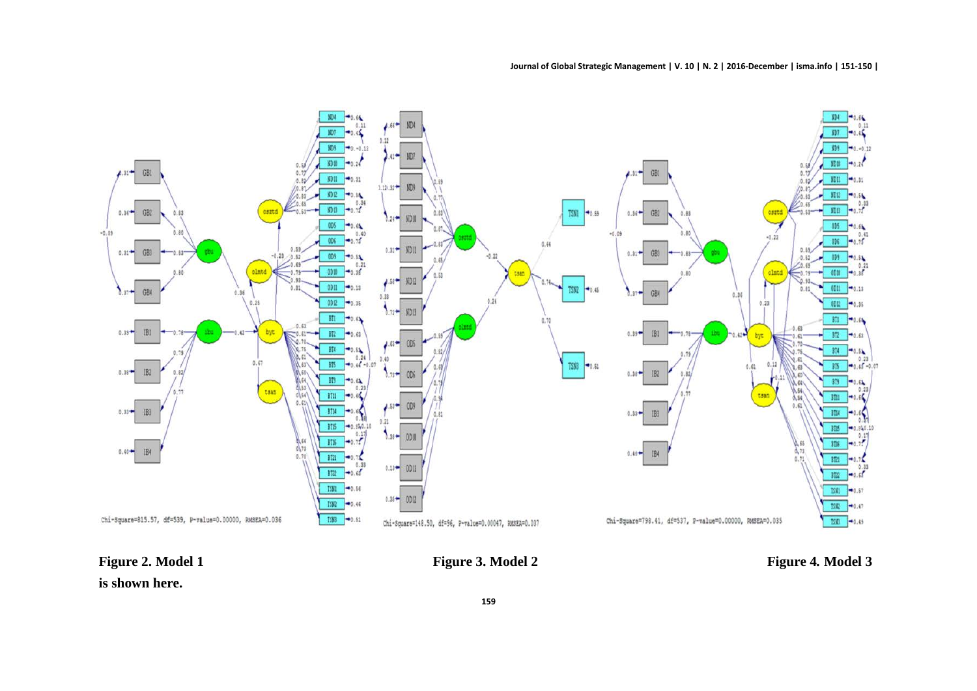

**Figure 2. Model 1 Figure 3. Model 2 Figure 4***.* **Model 3**

**is shown here.**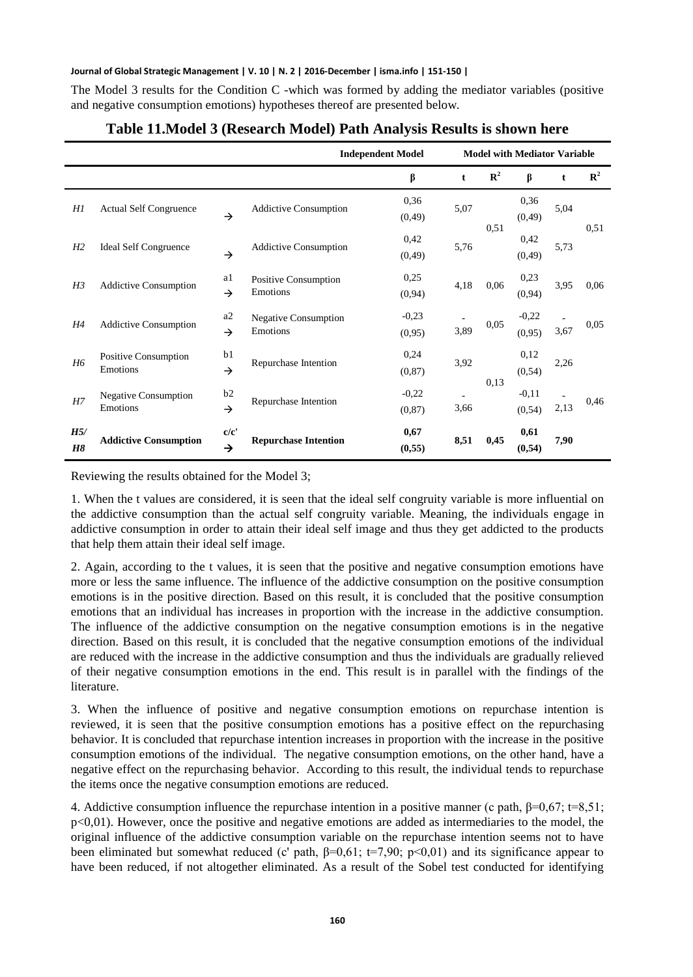The Model 3 results for the Condition C -which was formed by adding the mediator variables (positive and negative consumption emotions) hypotheses thereof are presented below.

|                |                                         |                     | <b>Independent Model</b>                | <b>Model with Mediator Variable</b> |             |                |                    |      |                |
|----------------|-----------------------------------------|---------------------|-----------------------------------------|-------------------------------------|-------------|----------------|--------------------|------|----------------|
|                |                                         |                     |                                         | β                                   | $\mathbf t$ | $\mathbb{R}^2$ | β                  | t    | $\mathbb{R}^2$ |
| Hl             | <b>Actual Self Congruence</b>           | $\rightarrow$       | <b>Addictive Consumption</b>            | 0,36<br>(0, 49)                     | 5,07        | 0.51           | 0,36<br>(0, 49)    | 5,04 | 0,51           |
| H <sub>2</sub> | <b>Ideal Self Congruence</b>            | $\rightarrow$       | <b>Addictive Consumption</b>            | 0,42<br>(0, 49)                     | 5,76        |                | 0,42<br>(0, 49)    | 5,73 |                |
| H <sub>3</sub> | <b>Addictive Consumption</b>            | a1<br>$\rightarrow$ | Positive Consumption<br>Emotions        | 0,25<br>(0, 94)                     | 4,18        | 0.06           | 0,23<br>(0, 94)    | 3,95 | 0,06           |
| H4             | <b>Addictive Consumption</b>            | a2<br>$\rightarrow$ | <b>Negative Consumption</b><br>Emotions | $-0,23$<br>(0,95)                   | 3,89        | 0,05           | $-0,22$<br>(0,95)  | 3,67 | 0.05           |
| H6             | Positive Consumption<br>Emotions        | b1<br>$\rightarrow$ | Repurchase Intention                    | 0,24<br>(0, 87)                     | 3,92        | 0,13           | 0,12<br>(0, 54)    | 2,26 | 0,46           |
| H7             | <b>Negative Consumption</b><br>Emotions | b2<br>$\rightarrow$ | Repurchase Intention                    | $-0,22$<br>(0, 87)                  | 3,66        |                | $-0.11$<br>(0, 54) | 2,13 |                |
| H5/<br>H8      | <b>Addictive Consumption</b>            | c/c'<br>→           | <b>Repurchase Intention</b>             | 0,67<br>(0, 55)                     | 8,51        | 0,45           | 0,61<br>(0, 54)    | 7,90 |                |

#### **Table 11.Model 3 (Research Model) Path Analysis Results is shown here**

Reviewing the results obtained for the Model 3;

1. When the t values are considered, it is seen that the ideal self congruity variable is more influential on the addictive consumption than the actual self congruity variable. Meaning, the individuals engage in addictive consumption in order to attain their ideal self image and thus they get addicted to the products that help them attain their ideal self image.

2. Again, according to the t values, it is seen that the positive and negative consumption emotions have more or less the same influence. The influence of the addictive consumption on the positive consumption emotions is in the positive direction. Based on this result, it is concluded that the positive consumption emotions that an individual has increases in proportion with the increase in the addictive consumption. The influence of the addictive consumption on the negative consumption emotions is in the negative direction. Based on this result, it is concluded that the negative consumption emotions of the individual are reduced with the increase in the addictive consumption and thus the individuals are gradually relieved of their negative consumption emotions in the end. This result is in parallel with the findings of the literature.

3. When the influence of positive and negative consumption emotions on repurchase intention is reviewed, it is seen that the positive consumption emotions has a positive effect on the repurchasing behavior. It is concluded that repurchase intention increases in proportion with the increase in the positive consumption emotions of the individual. The negative consumption emotions, on the other hand, have a negative effect on the repurchasing behavior. According to this result, the individual tends to repurchase the items once the negative consumption emotions are reduced.

4. Addictive consumption influence the repurchase intention in a positive manner (c path, β=0,67; t=8,51;  $p<0,01$ ). However, once the positive and negative emotions are added as intermediaries to the model, the original influence of the addictive consumption variable on the repurchase intention seems not to have been eliminated but somewhat reduced (c' path,  $\beta=0.61$ ; t=7,90; p<0,01) and its significance appear to have been reduced, if not altogether eliminated. As a result of the Sobel test conducted for identifying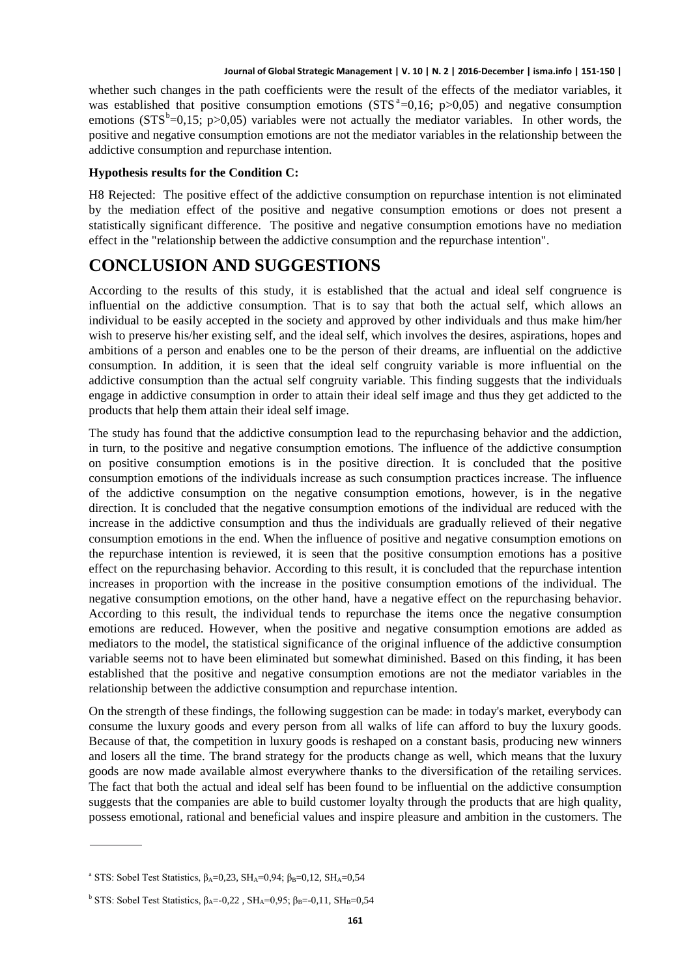whether such changes in the path coefficients were the result of the effects of the mediator variables, it w[a](#page-12-0)s established that positive consumption emotions  $(STS^4=0,16; p>0,05)$  and negative consumption emotions ( $STS^b=0,15$  $STS^b=0,15$  $STS^b=0,15$ ; p $>0,05$ ) variables were not actually the mediator variables. In other words, the positive and negative consumption emotions are not the mediator variables in the relationship between the addictive consumption and repurchase intention.

#### **Hypothesis results for the Condition C:**

H8 Rejected: The positive effect of the addictive consumption on repurchase intention is not eliminated by the mediation effect of the positive and negative consumption emotions or does not present a statistically significant difference. The positive and negative consumption emotions have no mediation effect in the "relationship between the addictive consumption and the repurchase intention".

### **CONCLUSION AND SUGGESTIONS**

According to the results of this study, it is established that the actual and ideal self congruence is influential on the addictive consumption. That is to say that both the actual self, which allows an individual to be easily accepted in the society and approved by other individuals and thus make him/her wish to preserve his/her existing self, and the ideal self, which involves the desires, aspirations, hopes and ambitions of a person and enables one to be the person of their dreams, are influential on the addictive consumption. In addition, it is seen that the ideal self congruity variable is more influential on the addictive consumption than the actual self congruity variable. This finding suggests that the individuals engage in addictive consumption in order to attain their ideal self image and thus they get addicted to the products that help them attain their ideal self image.

The study has found that the addictive consumption lead to the repurchasing behavior and the addiction, in turn, to the positive and negative consumption emotions. The influence of the addictive consumption on positive consumption emotions is in the positive direction. It is concluded that the positive consumption emotions of the individuals increase as such consumption practices increase. The influence of the addictive consumption on the negative consumption emotions, however, is in the negative direction. It is concluded that the negative consumption emotions of the individual are reduced with the increase in the addictive consumption and thus the individuals are gradually relieved of their negative consumption emotions in the end. When the influence of positive and negative consumption emotions on the repurchase intention is reviewed, it is seen that the positive consumption emotions has a positive effect on the repurchasing behavior. According to this result, it is concluded that the repurchase intention increases in proportion with the increase in the positive consumption emotions of the individual. The negative consumption emotions, on the other hand, have a negative effect on the repurchasing behavior. According to this result, the individual tends to repurchase the items once the negative consumption emotions are reduced. However, when the positive and negative consumption emotions are added as mediators to the model, the statistical significance of the original influence of the addictive consumption variable seems not to have been eliminated but somewhat diminished. Based on this finding, it has been established that the positive and negative consumption emotions are not the mediator variables in the relationship between the addictive consumption and repurchase intention.

On the strength of these findings, the following suggestion can be made: in today's market, everybody can consume the luxury goods and every person from all walks of life can afford to buy the luxury goods. Because of that, the competition in luxury goods is reshaped on a constant basis, producing new winners and losers all the time. The brand strategy for the products change as well, which means that the luxury goods are now made available almost everywhere thanks to the diversification of the retailing services. The fact that both the actual and ideal self has been found to be influential on the addictive consumption suggests that the companies are able to build customer loyalty through the products that are high quality, possess emotional, rational and beneficial values and inspire pleasure and ambition in the customers. The

<span id="page-12-0"></span><sup>&</sup>lt;sup>a</sup> STS: Sobel Test Statistics,  $β<sub>A</sub>=0,23$ , SH<sub>A</sub>=0,94;  $β<sub>B</sub>=0,12$ , SH<sub>A</sub>=0,54

<span id="page-12-1"></span><sup>&</sup>lt;sup>b</sup> STS: Sobel Test Statistics,  $β_A = 0.22$ ,  $SH_A = 0.95$ ;  $β_B = 0.11$ ,  $SH_B = 0.54$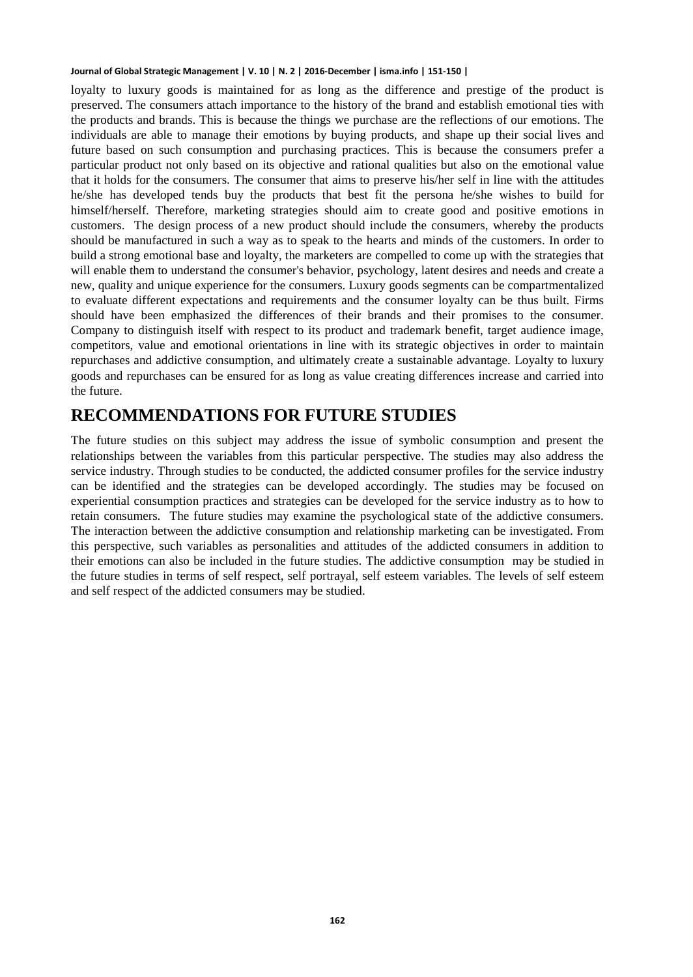loyalty to luxury goods is maintained for as long as the difference and prestige of the product is preserved. The consumers attach importance to the history of the brand and establish emotional ties with the products and brands. This is because the things we purchase are the reflections of our emotions. The individuals are able to manage their emotions by buying products, and shape up their social lives and future based on such consumption and purchasing practices. This is because the consumers prefer a particular product not only based on its objective and rational qualities but also on the emotional value that it holds for the consumers. The consumer that aims to preserve his/her self in line with the attitudes he/she has developed tends buy the products that best fit the persona he/she wishes to build for himself/herself. Therefore, marketing strategies should aim to create good and positive emotions in customers. The design process of a new product should include the consumers, whereby the products should be manufactured in such a way as to speak to the hearts and minds of the customers. In order to build a strong emotional base and loyalty, the marketers are compelled to come up with the strategies that will enable them to understand the consumer's behavior, psychology, latent desires and needs and create a new, quality and unique experience for the consumers. Luxury goods segments can be compartmentalized to evaluate different expectations and requirements and the consumer loyalty can be thus built. Firms should have been emphasized the differences of their brands and their promises to the consumer. Company to distinguish itself with respect to its product and trademark benefit, target audience image, competitors, value and emotional orientations in line with its strategic objectives in order to maintain repurchases and addictive consumption, and ultimately create a sustainable advantage. Loyalty to luxury goods and repurchases can be ensured for as long as value creating differences increase and carried into the future.

### **RECOMMENDATIONS FOR FUTURE STUDIES**

The future studies on this subject may address the issue of symbolic consumption and present the relationships between the variables from this particular perspective. The studies may also address the service industry. Through studies to be conducted, the addicted consumer profiles for the service industry can be identified and the strategies can be developed accordingly. The studies may be focused on experiential consumption practices and strategies can be developed for the service industry as to how to retain consumers. The future studies may examine the psychological state of the addictive consumers. The interaction between the addictive consumption and relationship marketing can be investigated. From this perspective, such variables as personalities and attitudes of the addicted consumers in addition to their emotions can also be included in the future studies. The addictive consumption may be studied in the future studies in terms of self respect, self portrayal, self esteem variables. The levels of self esteem and self respect of the addicted consumers may be studied.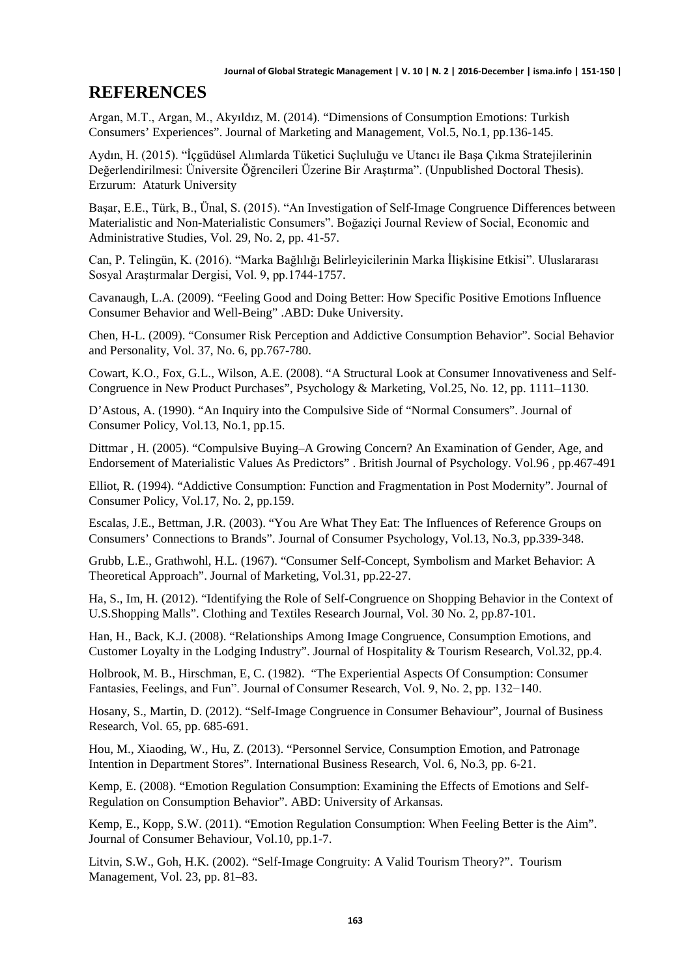### **REFERENCES**

Argan, M.T., Argan, M., Akyıldız, M. (2014). "Dimensions of Consumption Emotions: Turkish Consumers' Experiences". Journal of Marketing and Management, Vol.5, No.1, pp.136-145.

Aydın, H. (2015). "İçgüdüsel Alımlarda Tüketici Suçluluğu ve Utancı ile Başa Çıkma Stratejilerinin Değerlendirilmesi: Üniversite Öğrencileri Üzerine Bir Araştırma". (Unpublished Doctoral Thesis). Erzurum: Ataturk University

Başar, E.E., Türk, B., Ünal, S. (2015). "An Investigation of Self-Image Congruence Differences between Materialistic and Non-Materialistic Consumers". Boğaziçi Journal Review of Social, Economic and Administrative Studies, Vol. 29, No. 2, pp. 41-57.

Can, P. Telingün, K. (2016). "Marka Bağlılığı Belirleyicilerinin Marka İlişkisine Etkisi". Uluslararası Sosyal Araştırmalar Dergisi, Vol. 9, pp.1744-1757.

Cavanaugh, L.A. (2009). "Feeling Good and Doing Better: How Specific Positive Emotions Influence Consumer Behavior and Well-Being" .ABD: Duke University.

Chen, H-L. (2009). "Consumer Risk Perception and Addictive Consumption Behavior". Social Behavior and Personality, Vol. 37, No. 6, pp.767-780.

Cowart, K.O., Fox, G.L., Wilson, A.E. (2008). "A Structural Look at Consumer Innovativeness and Self-Congruence in New Product Purchases", Psychology & Marketing, Vol.25, No. 12, pp. 1111–1130.

D'Astous, A. (1990). "An Inquiry into the Compulsive Side of "Normal Consumers". Journal of Consumer Policy, Vol.13, No.1, pp.15.

Dittmar , H. (2005). "Compulsive Buying–A Growing Concern? An Examination of Gender, Age, and Endorsement of Materialistic Values As Predictors" . British Journal of Psychology. Vol.96 , pp.467-491

Elliot, R. (1994). "Addictive Consumption: Function and Fragmentation in Post Modernity". Journal of Consumer Policy, Vol.17, No. 2, pp.159.

Escalas, J.E., Bettman, J.R. (2003). "You Are What They Eat: The Influences of Reference Groups on Consumers' Connections to Brands". Journal of Consumer Psychology, Vol.13, No.3, pp.339-348.

Grubb, L.E., Grathwohl, H.L. (1967). "Consumer Self-Concept, Symbolism and Market Behavior: A Theoretical Approach". Journal of Marketing, Vol.31, pp.22-27.

Ha, S., Im, H. (2012). "Identifying the Role of Self-Congruence on Shopping Behavior in the Context of U.S.Shopping Malls". Clothing and Textiles Research Journal, Vol. 30 No. 2, pp.87-101.

Han, H., Back, K.J. (2008). "Relationships Among Image Congruence, Consumption Emotions, and Customer Loyalty in the Lodging Industry". Journal of Hospitality & Tourism Research, Vol.32, pp.4.

Holbrook, M. B., Hirschman, E, C. (1982). "The Experiential Aspects Of Consumption: Consumer Fantasies, Feelings, and Fun". Journal of Consumer Research, Vol. 9, No. 2, pp. 132−140.

Hosany, S., Martin, D. (2012). "Self-Image Congruence in Consumer Behaviour", Journal of Business Research, Vol. 65, pp. 685-691.

Hou, M., Xiaoding, W., Hu, Z. (2013). "Personnel Service, Consumption Emotion, and Patronage Intention in Department Stores". International Business Research, Vol. 6, No.3, pp. 6-21.

Kemp, E. (2008). "Emotion Regulation Consumption: Examining the Effects of Emotions and Self-Regulation on Consumption Behavior". ABD: University of Arkansas.

Kemp, E., Kopp, S.W. (2011). "Emotion Regulation Consumption: When Feeling Better is the Aim". Journal of Consumer Behaviour, Vol.10, pp.1-7.

Litvin, S.W., Goh, H.K. (2002). "Self-Image Congruity: A Valid Tourism Theory?". Tourism Management, Vol. 23, pp. 81–83.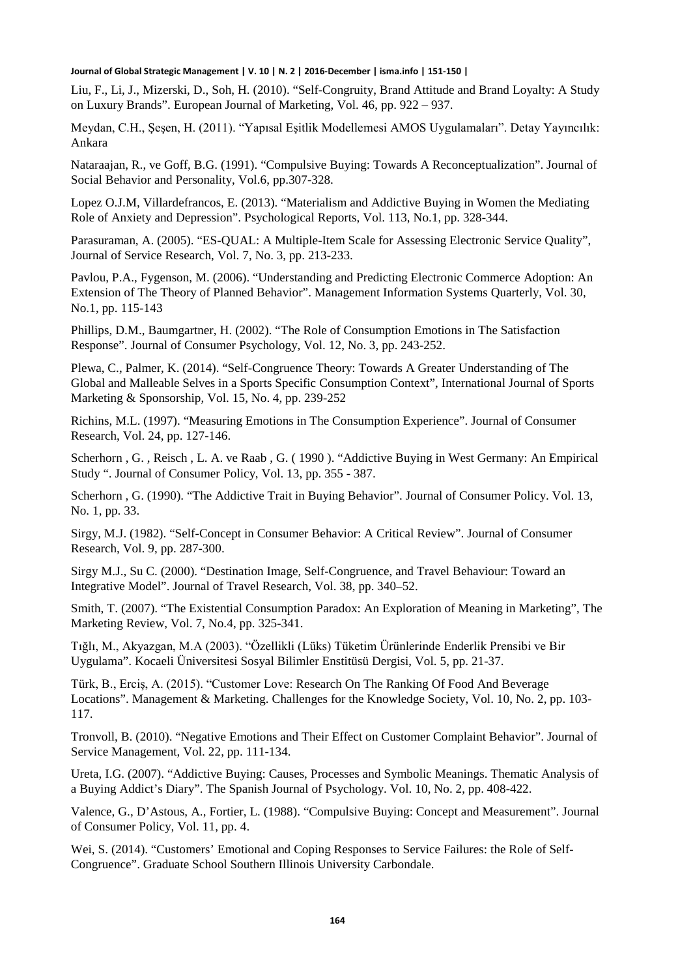Liu, F., Li, J., Mizerski, D., Soh, H. (2010). "Self-Congruity, Brand Attitude and Brand Loyalty: A Study on Luxury Brands". European Journal of Marketing, Vol. 46, pp. 922 – 937.

Meydan, C.H., Şeşen, H. (2011). "Yapısal Eşitlik Modellemesi AMOS Uygulamaları". Detay Yayıncılık: Ankara

Nataraajan, R., ve Goff, B.G. (1991). "Compulsive Buying: Towards A Reconceptualization". Journal of Social Behavior and Personality, Vol.6, pp.307-328.

Lopez O.J.M, Villardefrancos, E. (2013). "Materialism and Addictive Buying in Women the Mediating Role of Anxiety and Depression". Psychological Reports, Vol. 113, No.1, pp. 328-344.

Parasuraman, A. (2005). "ES-QUAL: A Multiple-Item Scale for Assessing Electronic Service Quality", Journal of Service Research, Vol. 7, No. 3, pp. 213-233.

Pavlou, P.A., Fygenson, M. (2006). "Understanding and Predicting Electronic Commerce Adoption: An Extension of The Theory of Planned Behavior". Management Information Systems Quarterly, Vol. 30, No.1, pp. 115-143

Phillips, D.M., Baumgartner, H. (2002). "The Role of Consumption Emotions in The Satisfaction Response". Journal of Consumer Psychology, Vol. 12, No. 3, pp. 243-252.

Plewa, C., Palmer, K. (2014). "Self-Congruence Theory: Towards A Greater Understanding of The Global and Malleable Selves in a Sports Specific Consumption Context", International Journal of Sports Marketing & Sponsorship, Vol. 15, No. 4, pp. 239-252

Richins, M.L. (1997). "Measuring Emotions in The Consumption Experience". Journal of Consumer Research, Vol. 24, pp. 127-146.

Scherhorn , G. , Reisch , L. A. ve Raab , G. ( 1990 ). "Addictive Buying in West Germany: An Empirical Study ". Journal of Consumer Policy, Vol. 13, pp. 355 - 387.

Scherhorn , G. (1990). "The Addictive Trait in Buying Behavior". Journal of Consumer Policy. Vol. 13, No. 1, pp. 33.

Sirgy, M.J. (1982). "Self-Concept in Consumer Behavior: A Critical Review". Journal of Consumer Research, Vol. 9, pp. 287-300.

Sirgy M.J., Su C. (2000). "Destination Image, Self-Congruence, and Travel Behaviour: Toward an Integrative Model". Journal of Travel Research, Vol. 38, pp. 340–52.

Smith, T. (2007). "The Existential Consumption Paradox: An Exploration of Meaning in Marketing", The Marketing Review, Vol. 7, No.4, pp. 325-341.

Tığlı, M., Akyazgan, M.A (2003). "Özellikli (Lüks) Tüketim Ürünlerinde Enderlik Prensibi ve Bir Uygulama". Kocaeli Üniversitesi Sosyal Bilimler Enstitüsü Dergisi, Vol. 5, pp. 21-37.

Türk, B., Erciş, A. (2015). "Customer Love: Research On The Ranking Of Food And Beverage Locations". Management & Marketing. Challenges for the Knowledge Society, Vol. 10, No. 2, pp. 103- 117.

Tronvoll, B. (2010). "Negative Emotions and Their Effect on Customer Complaint Behavior". Journal of Service Management, Vol. 22, pp. 111-134.

Ureta, I.G. (2007). "Addictive Buying: Causes, Processes and Symbolic Meanings. Thematic Analysis of a Buying Addict's Diary". The Spanish Journal of Psychology. Vol. 10, No. 2, pp. 408-422.

Valence, G., D'Astous, A., Fortier, L. (1988). "Compulsive Buying: Concept and Measurement". Journal of Consumer Policy, Vol. 11, pp. 4.

Wei, S. (2014). "Customers' Emotional and Coping Responses to Service Failures: the Role of Self-Congruence". Graduate School Southern Illinois University Carbondale.